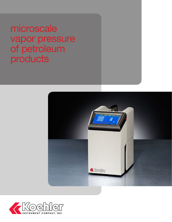microscale vapor pressure of petroleum products



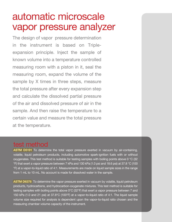# automatic microscale vapor pressure analyzer

The design of vapor pressure determination in the instrument is based on Tripleexpansion principle. Inject the sample of known volume into a temperature controlled measuring room with a piston in it, seal the measuring room, expand the volume of the sample by X times in three steps, measure the total pressure after every expansion step and calculate the dissolved partial pressure of the air and dissolved pressure of air in the sample. And then raise the temperature to a certain value and measure the total pressure at the temperature.

### test method

**ASTM D5191** To determine the total vapor pressure exerted in vacuum by air-containing, volatile, liquid petroleum products, including automotive spark-ignition fuels with or without oxygenates. This test method is suitable for testing samples with boiling points above 0 °C (32 °F) that exert a vapor pressure between 7 kPa and 130 kPa (1.0 psi and 18.6 psi) at 37.8 °C (100 °F) at a vapor-to-liquid ratio of 4:1. Measurements are made on liquid sample sizes in the range from 1 mL to 10 mL. No account is made for dissolved water in the sample.

**ASTM D6378** To determine the vapor pressure exerted in vacuum by volatile, liquid petroleum products, hydrocarbons, and hydrocarbon-oxygenate mixtures. This test method is suitable for testing samples with boiling points above 0°C (32°F) that exert a vapor pressure between 7 and 150 kPa (1.0 and 21 psi) at 37.8°C (100°F) at a vapor-to-liquid ratio of 4:1. The liquid sample volume size required for analysis is dependent upon the vapor-to-liquid ratio chosen and the measuring chamber volume capacity of the instrument.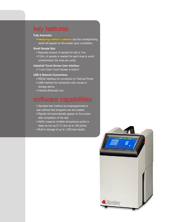### key features

#### **Fully Automatic**

• Measuring method is selected and the corresponding result will appear on the screen upon completion

#### **Small Sample Size**

- Required amount of sample for test is 1mL
- 2.5mL of sample is needed for each rinse to avoid contamination (3x rinse per cycle)

#### **Industrial Touch Screen User Interface**

• 7-inch Color Touch Screen is built-in

#### **USB & Network Connections**

- RS232 interface for connection to Thermal Printer
- USB interface for connection with mouse or storage device
- Internet (Ethernet) Line

### software capabilities

- Standard test method are preprogrammed or user-defined test programs can be created.
- Results will automatically appear on the screen after completion of the test.
- Ability measure multiple temperature points in steps as low as 0.1°C and up to 100 points.
- Built-in storage of up to 1,000 test results.